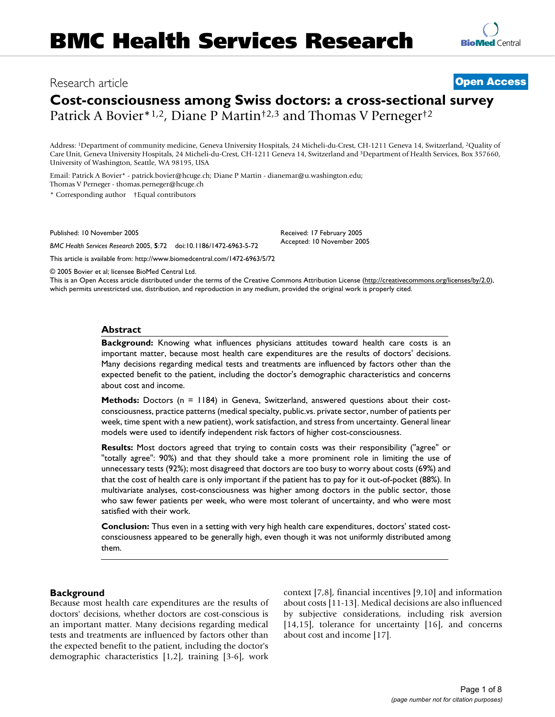# Research article **[Open Access](http://www.biomedcentral.com/info/about/charter/)**

# **Cost-consciousness among Swiss doctors: a cross-sectional survey** Patrick A Bovier<sup>\*1,2</sup>, Diane P Martin<sup>†2,3</sup> and Thomas V Perneger<sup>†2</sup>

Address: 1Department of community medicine, Geneva University Hospitals, 24 Micheli-du-Crest, CH-1211 Geneva 14, Switzerland, 2Quality of Care Unit, Geneva University Hospitals, 24 Micheli-du-Crest, CH-1211 Geneva 14, Switzerland and 3Department of Health Services, Box 357660, University of Washington, Seattle, WA 98195, USA

Email: Patrick A Bovier\* - patrick.bovier@hcuge.ch; Diane P Martin - dianemar@u.washington.edu; Thomas V Perneger - thomas.perneger@hcuge.ch

\* Corresponding author †Equal contributors

Published: 10 November 2005

*BMC Health Services Research* 2005, **5**:72 doi:10.1186/1472-6963-5-72

[This article is available from: http://www.biomedcentral.com/1472-6963/5/72](http://www.biomedcentral.com/1472-6963/5/72)

© 2005 Bovier et al; licensee BioMed Central Ltd.

This is an Open Access article distributed under the terms of the Creative Commons Attribution License [\(http://creativecommons.org/licenses/by/2.0\)](http://creativecommons.org/licenses/by/2.0), which permits unrestricted use, distribution, and reproduction in any medium, provided the original work is properly cited.

Received: 17 February 2005 Accepted: 10 November 2005

## **Abstract**

**Background:** Knowing what influences physicians attitudes toward health care costs is an important matter, because most health care expenditures are the results of doctors' decisions. Many decisions regarding medical tests and treatments are influenced by factors other than the expected benefit to the patient, including the doctor's demographic characteristics and concerns about cost and income.

**Methods:** Doctors (n = 1184) in Geneva, Switzerland, answered questions about their costconsciousness, practice patterns (medical specialty, public.vs. private sector, number of patients per week, time spent with a new patient), work satisfaction, and stress from uncertainty. General linear models were used to identify independent risk factors of higher cost-consciousness.

**Results:** Most doctors agreed that trying to contain costs was their responsibility ("agree" or "totally agree": 90%) and that they should take a more prominent role in limiting the use of unnecessary tests (92%); most disagreed that doctors are too busy to worry about costs (69%) and that the cost of health care is only important if the patient has to pay for it out-of-pocket (88%). In multivariate analyses, cost-consciousness was higher among doctors in the public sector, those who saw fewer patients per week, who were most tolerant of uncertainty, and who were most satisfied with their work.

**Conclusion:** Thus even in a setting with very high health care expenditures, doctors' stated costconsciousness appeared to be generally high, even though it was not uniformly distributed among them.

# **Background**

Because most health care expenditures are the results of doctors' decisions, whether doctors are cost-conscious is an important matter. Many decisions regarding medical tests and treatments are influenced by factors other than the expected benefit to the patient, including the doctor's demographic characteristics [1,2], training [3-6], work context [7,8], financial incentives [9,10] and information about costs [11-13]. Medical decisions are also influenced by subjective considerations, including risk aversion [14,15], tolerance for uncertainty [16], and concerns about cost and income [17].

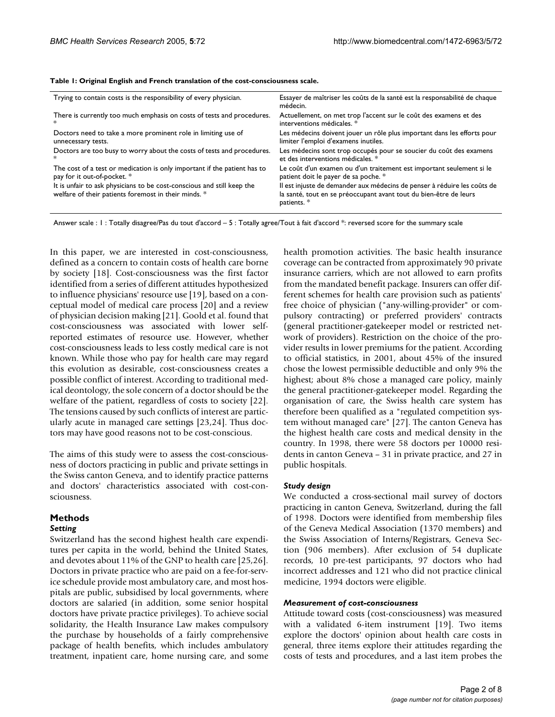#### **Table 1: Original English and French translation of the cost-consciousness scale.**

| Trying to contain costs is the responsibility of every physician.                                                              | Essayer de maîtriser les coûts de la santé est la responsabilité de chaque<br>médecin.                                                                       |
|--------------------------------------------------------------------------------------------------------------------------------|--------------------------------------------------------------------------------------------------------------------------------------------------------------|
| There is currently too much emphasis on costs of tests and procedures.                                                         | Actuellement, on met trop l'accent sur le coût des examens et des                                                                                            |
| *                                                                                                                              | interventions médicales. *                                                                                                                                   |
| Doctors need to take a more prominent role in limiting use of                                                                  | Les médecins doivent jouer un rôle plus important dans les efforts pour                                                                                      |
| unnecessary tests.                                                                                                             | limiter l'emploi d'examens inutiles.                                                                                                                         |
| Doctors are too busy to worry about the costs of tests and procedures.                                                         | Les médecins sont trop occupés pour se soucier du coût des examens                                                                                           |
| *                                                                                                                              | et des interventions médicales. *                                                                                                                            |
| The cost of a test or medication is only important if the patient has to                                                       | Le coût d'un examen ou d'un traitement est important seulement si le                                                                                         |
| pay for it out-of-pocket. *                                                                                                    | patient doit le payer de sa poche. *                                                                                                                         |
| It is unfair to ask physicians to be cost-conscious and still keep the<br>welfare of their patients foremost in their minds. * | Il est injuste de demander aux médecins de penser à réduire les coûts de<br>la santé, tout en se préoccupant avant tout du bien-être de leurs<br>patients. * |

Answer scale : 1 : Totally disagree/Pas du tout d'accord – 5 : Totally agree/Tout à fait d'accord \*: reversed score for the summary scale

In this paper, we are interested in cost-consciousness, defined as a concern to contain costs of health care borne by society [18]. Cost-consciousness was the first factor identified from a series of different attitudes hypothesized to influence physicians' resource use [19], based on a conceptual model of medical care process [20] and a review of physician decision making [21]. Goold et al. found that cost-consciousness was associated with lower selfreported estimates of resource use. However, whether cost-consciousness leads to less costly medical care is not known. While those who pay for health care may regard this evolution as desirable, cost-consciousness creates a possible conflict of interest. According to traditional medical deontology, the sole concern of a doctor should be the welfare of the patient, regardless of costs to society [22]. The tensions caused by such conflicts of interest are particularly acute in managed care settings [23,24]. Thus doctors may have good reasons not to be cost-conscious.

The aims of this study were to assess the cost-consciousness of doctors practicing in public and private settings in the Swiss canton Geneva, and to identify practice patterns and doctors' characteristics associated with cost-consciousness.

#### **Methods** *Setting*

Switzerland has the second highest health care expenditures per capita in the world, behind the United States, and devotes about 11% of the GNP to health care [25,26]. Doctors in private practice who are paid on a fee-for-service schedule provide most ambulatory care, and most hospitals are public, subsidised by local governments, where doctors are salaried (in addition, some senior hospital doctors have private practice privileges). To achieve social solidarity, the Health Insurance Law makes compulsory the purchase by households of a fairly comprehensive package of health benefits, which includes ambulatory treatment, inpatient care, home nursing care, and some health promotion activities. The basic health insurance coverage can be contracted from approximately 90 private insurance carriers, which are not allowed to earn profits from the mandated benefit package. Insurers can offer different schemes for health care provision such as patients' free choice of physician ("any-willing-provider" or compulsory contracting) or preferred providers' contracts (general practitioner-gatekeeper model or restricted network of providers). Restriction on the choice of the provider results in lower premiums for the patient. According to official statistics, in 2001, about 45% of the insured chose the lowest permissible deductible and only 9% the highest; about 8% chose a managed care policy, mainly the general practitioner-gatekeeper model. Regarding the organisation of care, the Swiss health care system has therefore been qualified as a "regulated competition system without managed care" [27]. The canton Geneva has the highest health care costs and medical density in the country. In 1998, there were 58 doctors per 10000 residents in canton Geneva – 31 in private practice, and 27 in public hospitals.

#### *Study design*

We conducted a cross-sectional mail survey of doctors practicing in canton Geneva, Switzerland, during the fall of 1998. Doctors were identified from membership files of the Geneva Medical Association (1370 members) and the Swiss Association of Interns/Registrars, Geneva Section (906 members). After exclusion of 54 duplicate records, 10 pre-test participants, 97 doctors who had incorrect addresses and 121 who did not practice clinical medicine, 1994 doctors were eligible.

#### *Measurement of cost-consciousness*

Attitude toward costs (cost-consciousness) was measured with a validated 6-item instrument [19]. Two items explore the doctors' opinion about health care costs in general, three items explore their attitudes regarding the costs of tests and procedures, and a last item probes the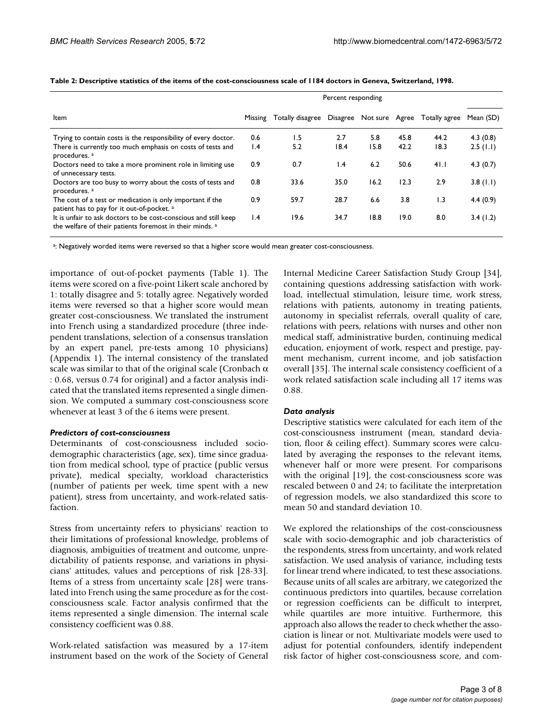|                                                                                                                             | Percent responding |                  |                 |      |      |                                       |           |
|-----------------------------------------------------------------------------------------------------------------------------|--------------------|------------------|-----------------|------|------|---------------------------------------|-----------|
| Item                                                                                                                        | Missing            | Totally disagree |                 |      |      | Disagree Not sure Agree Totally agree | Mean (SD) |
| Trying to contain costs is the responsibility of every doctor.                                                              | 0.6                | 1.5              | 2.7             | 5.8  | 45.8 | 44.2                                  | 4.3(0.8)  |
| There is currently too much emphasis on costs of tests and<br>procedures. <sup>a</sup>                                      | $\mathsf{I}$ .4    | 5.2              | 18.4            | 15.8 | 42.2 | 18.3                                  | 2.5(1.1)  |
| Doctors need to take a more prominent role in limiting use<br>of unnecessary tests.                                         | 0.9                | 0.7              | $\mathsf{I}$ .4 | 6.2  | 50.6 | 41.1                                  | 4.3(0.7)  |
| Doctors are too busy to worry about the costs of tests and<br>procedures. <sup>a</sup>                                      | 0.8                | 33.6             | 35.0            | 16.2 | 12.3 | 2.9                                   | 3.8(1.1)  |
| The cost of a test or medication is only important if the<br>patient has to pay for it out-of-pocket. a                     | 0.9                | 59.7             | 28.7            | 6.6  | 3.8  | 1.3                                   | 4.4(0.9)  |
| It is unfair to ask doctors to be cost-conscious and still keep<br>the welfare of their patients foremost in their minds. a | $\mathsf{I}$ .4    | 19.6             | 34.7            | 18.8 | 19.0 | 8.0                                   | 3.4(1.2)  |

**Table 2: Descriptive statistics of the items of the cost-consciousness scale of 1184 doctors in Geneva, Switzerland, 1998.**

a: Negatively worded items were reversed so that a higher score would mean greater cost-consciousness.

importance of out-of-pocket payments (Table 1). The items were scored on a five-point Likert scale anchored by 1: totally disagree and 5: totally agree. Negatively worded items were reversed so that a higher score would mean greater cost-consciousness. We translated the instrument into French using a standardized procedure (three independent translations, selection of a consensus translation by an expert panel, pre-tests among 10 physicians) (Appendix 1). The internal consistency of the translated scale was similar to that of the original scale (Cronbach  $\alpha$ : 0.68, versus 0.74 for original) and a factor analysis indicated that the translated items represented a single dimension. We computed a summary cost-consciousness score whenever at least 3 of the 6 items were present.

#### *Predictors of cost-consciousness*

Determinants of cost-consciousness included sociodemographic characteristics (age, sex), time since graduation from medical school, type of practice (public versus private), medical specialty, workload characteristics (number of patients per week, time spent with a new patient), stress from uncertainty, and work-related satisfaction.

Stress from uncertainty refers to physicians' reaction to their limitations of professional knowledge, problems of diagnosis, ambiguities of treatment and outcome, unpredictability of patients response, and variations in physicians' attitudes, values and perceptions of risk [28-33]. Items of a stress from uncertainty scale [28] were translated into French using the same procedure as for the costconsciousness scale. Factor analysis confirmed that the items represented a single dimension. The internal scale consistency coefficient was 0.88.

Work-related satisfaction was measured by a 17-item instrument based on the work of the Society of General

Internal Medicine Career Satisfaction Study Group [34], containing questions addressing satisfaction with workload, intellectual stimulation, leisure time, work stress, relations with patients, autonomy in treating patients, autonomy in specialist referrals, overall quality of care, relations with peers, relations with nurses and other non medical staff, administrative burden, continuing medical education, enjoyment of work, respect and prestige, payment mechanism, current income, and job satisfaction overall [35]. The internal scale consistency coefficient of a work related satisfaction scale including all 17 items was 0.88.

#### *Data analysis*

Descriptive statistics were calculated for each item of the cost-consciousness instrument (mean, standard deviation, floor & ceiling effect). Summary scores were calculated by averaging the responses to the relevant items, whenever half or more were present. For comparisons with the original [19], the cost-consciousness score was rescaled between 0 and 24; to facilitate the interpretation of regression models, we also standardized this score to mean 50 and standard deviation 10.

We explored the relationships of the cost-consciousness scale with socio-demographic and job characteristics of the respondents, stress from uncertainty, and work related satisfaction. We used analysis of variance, including tests for linear trend where indicated, to test these associations. Because units of all scales are arbitrary, we categorized the continuous predictors into quartiles, because correlation or regression coefficients can be difficult to interpret, while quartiles are more intuitive. Furthermore, this approach also allows the reader to check whether the association is linear or not. Multivariate models were used to adjust for potential confounders, identify independent risk factor of higher cost-consciousness score, and com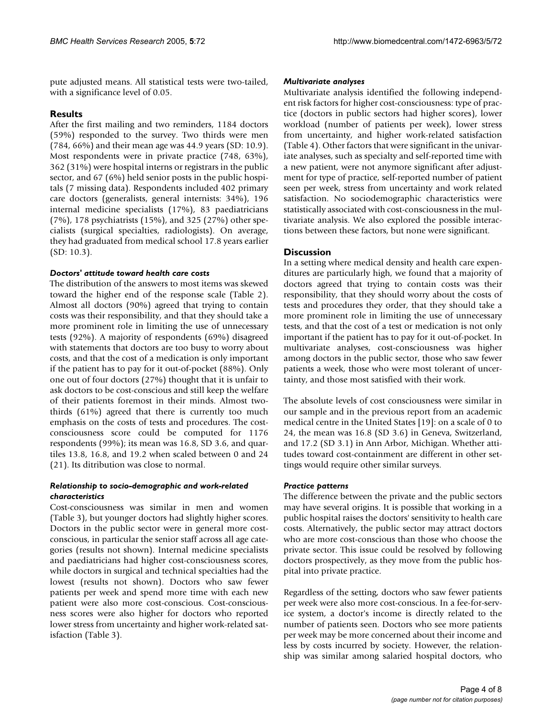pute adjusted means. All statistical tests were two-tailed, with a significance level of 0.05.

# **Results**

After the first mailing and two reminders, 1184 doctors (59%) responded to the survey. Two thirds were men (784, 66%) and their mean age was 44.9 years (SD: 10.9). Most respondents were in private practice (748, 63%), 362 (31%) were hospital interns or registrars in the public sector, and 67 (6%) held senior posts in the public hospitals (7 missing data). Respondents included 402 primary care doctors (generalists, general internists: 34%), 196 internal medicine specialists (17%), 83 paediatricians (7%), 178 psychiatrists (15%), and 325 (27%) other specialists (surgical specialties, radiologists). On average, they had graduated from medical school 17.8 years earlier (SD: 10.3).

# *Doctors' attitude toward health care costs*

The distribution of the answers to most items was skewed toward the higher end of the response scale (Table 2). Almost all doctors (90%) agreed that trying to contain costs was their responsibility, and that they should take a more prominent role in limiting the use of unnecessary tests (92%). A majority of respondents (69%) disagreed with statements that doctors are too busy to worry about costs, and that the cost of a medication is only important if the patient has to pay for it out-of-pocket (88%). Only one out of four doctors (27%) thought that it is unfair to ask doctors to be cost-conscious and still keep the welfare of their patients foremost in their minds. Almost twothirds (61%) agreed that there is currently too much emphasis on the costs of tests and procedures. The costconsciousness score could be computed for 1176 respondents (99%); its mean was 16.8, SD 3.6, and quartiles 13.8, 16.8, and 19.2 when scaled between 0 and 24 (21). Its ditribution was close to normal.

# *Relationship to socio-demographic and work-related characteristics*

Cost-consciousness was similar in men and women (Table 3), but younger doctors had slightly higher scores. Doctors in the public sector were in general more costconscious, in particular the senior staff across all age categories (results not shown). Internal medicine specialists and paediatricians had higher cost-consciousness scores, while doctors in surgical and technical specialties had the lowest (results not shown). Doctors who saw fewer patients per week and spend more time with each new patient were also more cost-conscious. Cost-consciousness scores were also higher for doctors who reported lower stress from uncertainty and higher work-related satisfaction (Table 3).

# *Multivariate analyses*

Multivariate analysis identified the following independent risk factors for higher cost-consciousness: type of practice (doctors in public sectors had higher scores), lower workload (number of patients per week), lower stress from uncertainty, and higher work-related satisfaction (Table 4). Other factors that were significant in the univariate analyses, such as specialty and self-reported time with a new patient, were not anymore significant after adjustment for type of practice, self-reported number of patient seen per week, stress from uncertainty and work related satisfaction. No sociodemographic characteristics were statistically associated with cost-consciousness in the multivariate analysis. We also explored the possible interactions between these factors, but none were significant.

# **Discussion**

In a setting where medical density and health care expenditures are particularly high, we found that a majority of doctors agreed that trying to contain costs was their responsibility, that they should worry about the costs of tests and procedures they order, that they should take a more prominent role in limiting the use of unnecessary tests, and that the cost of a test or medication is not only important if the patient has to pay for it out-of-pocket. In multivariate analyses, cost-consciousness was higher among doctors in the public sector, those who saw fewer patients a week, those who were most tolerant of uncertainty, and those most satisfied with their work.

The absolute levels of cost consciousness were similar in our sample and in the previous report from an academic medical centre in the United States [19]: on a scale of 0 to 24, the mean was 16.8 (SD 3.6) in Geneva, Switzerland, and 17.2 (SD 3.1) in Ann Arbor, Michigan. Whether attitudes toward cost-containment are different in other settings would require other similar surveys.

# *Practice patterns*

The difference between the private and the public sectors may have several origins. It is possible that working in a public hospital raises the doctors' sensitivity to health care costs. Alternatively, the public sector may attract doctors who are more cost-conscious than those who choose the private sector. This issue could be resolved by following doctors prospectively, as they move from the public hospital into private practice.

Regardless of the setting, doctors who saw fewer patients per week were also more cost-conscious. In a fee-for-service system, a doctor's income is directly related to the number of patients seen. Doctors who see more patients per week may be more concerned about their income and less by costs incurred by society. However, the relationship was similar among salaried hospital doctors, who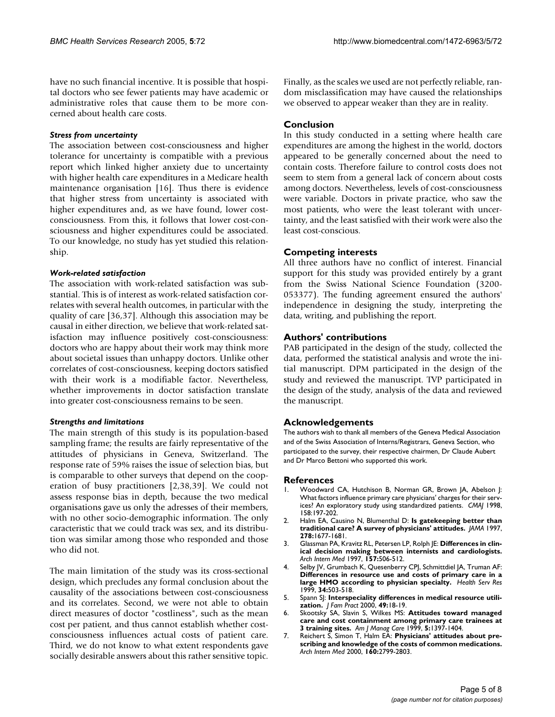have no such financial incentive. It is possible that hospital doctors who see fewer patients may have academic or administrative roles that cause them to be more concerned about health care costs.

#### *Stress from uncertainty*

The association between cost-consciousness and higher tolerance for uncertainty is compatible with a previous report which linked higher anxiety due to uncertainty with higher health care expenditures in a Medicare health maintenance organisation [16]. Thus there is evidence that higher stress from uncertainty is associated with higher expenditures and, as we have found, lower costconsciousness. From this, it follows that lower cost-consciousness and higher expenditures could be associated. To our knowledge, no study has yet studied this relationship.

## *Work-related satisfaction*

The association with work-related satisfaction was substantial. This is of interest as work-related satisfaction correlates with several health outcomes, in particular with the quality of care [36,37]. Although this association may be causal in either direction, we believe that work-related satisfaction may influence positively cost-consciousness: doctors who are happy about their work may think more about societal issues than unhappy doctors. Unlike other correlates of cost-consciousness, keeping doctors satisfied with their work is a modifiable factor. Nevertheless, whether improvements in doctor satisfaction translate into greater cost-consciousness remains to be seen.

#### *Strengths and limitations*

The main strength of this study is its population-based sampling frame; the results are fairly representative of the attitudes of physicians in Geneva, Switzerland. The response rate of 59% raises the issue of selection bias, but is comparable to other surveys that depend on the cooperation of busy practitioners [2,38,39]. We could not assess response bias in depth, because the two medical organisations gave us only the adresses of their members, with no other socio-demographic information. The only caracteristic that we could track was sex, and its distribution was similar among those who responded and those who did not.

The main limitation of the study was its cross-sectional design, which precludes any formal conclusion about the causality of the associations between cost-consciousness and its correlates. Second, we were not able to obtain direct measures of doctor "costliness", such as the mean cost per patient, and thus cannot establish whether costconsciousness influences actual costs of patient care. Third, we do not know to what extent respondents gave socially desirable answers about this rather sensitive topic.

Finally, as the scales we used are not perfectly reliable, random misclassification may have caused the relationships we observed to appear weaker than they are in reality.

# **Conclusion**

In this study conducted in a setting where health care expenditures are among the highest in the world, doctors appeared to be generally concerned about the need to contain costs. Therefore failure to control costs does not seem to stem from a general lack of concern about costs among doctors. Nevertheless, levels of cost-consciousness were variable. Doctors in private practice, who saw the most patients, who were the least tolerant with uncertainty, and the least satisfied with their work were also the least cost-conscious.

#### **Competing interests**

All three authors have no conflict of interest. Financial support for this study was provided entirely by a grant from the Swiss National Science Foundation (3200- 053377). The funding agreement ensured the authors' independence in designing the study, interpreting the data, writing, and publishing the report.

# **Authors' contributions**

PAB participated in the design of the study, collected the data, performed the statistical analysis and wrote the initial manuscript. DPM participated in the design of the study and reviewed the manuscript. TVP participated in the design of the study, analysis of the data and reviewed the manuscript.

# **Acknowledgements**

The authors wish to thank all members of the Geneva Medical Association and of the Swiss Association of Interns/Registrars, Geneva Section, who participated to the survey, their respective chairmen, Dr Claude Aubert and Dr Marco Bettoni who supported this work.

#### **References**

- 1. Woodward CA, Hutchison B, Norman GR, Brown JA, Abelson J: [What factors influence primary care physicians' charges for their serv](http://www.ncbi.nlm.nih.gov/entrez/query.fcgi?cmd=Retrieve&db=PubMed&dopt=Abstract&list_uids=9469140)[ices? An exploratory study using standardized patients.](http://www.ncbi.nlm.nih.gov/entrez/query.fcgi?cmd=Retrieve&db=PubMed&dopt=Abstract&list_uids=9469140) *CMAJ* 1998, 158:197-202.
- 2. Halm EA, Causino N, Blumenthal D: **[Is gatekeeping better than](http://www.ncbi.nlm.nih.gov/entrez/query.fcgi?cmd=Retrieve&db=PubMed&dopt=Abstract&list_uids=9388087) [traditional care? A survey of physicians' attitudes.](http://www.ncbi.nlm.nih.gov/entrez/query.fcgi?cmd=Retrieve&db=PubMed&dopt=Abstract&list_uids=9388087)** *JAMA* 1997, **278:**1677-1681.
- 3. Glassman PA, Kravitz RL, Petersen LP, Rolph JE: **[Differences in clin](http://www.ncbi.nlm.nih.gov/entrez/query.fcgi?cmd=Retrieve&db=PubMed&dopt=Abstract&list_uids=9066454)[ical decision making between internists and cardiologists.](http://www.ncbi.nlm.nih.gov/entrez/query.fcgi?cmd=Retrieve&db=PubMed&dopt=Abstract&list_uids=9066454)** *Arch Intern Med* 1997, **157:**506-512.
- 4. Selby JV, Grumbach K, Quesenberry CPJ, Schmittdiel JA, Truman AF: **[Differences in resource use and costs of primary care in a](http://www.ncbi.nlm.nih.gov/entrez/query.fcgi?cmd=Retrieve&db=PubMed&dopt=Abstract&list_uids=10357287) [large HMO according to physician specialty.](http://www.ncbi.nlm.nih.gov/entrez/query.fcgi?cmd=Retrieve&db=PubMed&dopt=Abstract&list_uids=10357287)** *Health Serv Res* 1999, **34:**503-518.
- 5. Spann SJ: **[Interspeciality differences in medical resource utili](http://www.ncbi.nlm.nih.gov/entrez/query.fcgi?cmd=Retrieve&db=PubMed&dopt=Abstract&list_uids=10678334)[zation.](http://www.ncbi.nlm.nih.gov/entrez/query.fcgi?cmd=Retrieve&db=PubMed&dopt=Abstract&list_uids=10678334)** *J Fam Pract* 2000, **49:**18-19.
- 6. Skootsky SA, Slavin S, Wilkes MS: **[Attitudes toward managed](http://www.ncbi.nlm.nih.gov/entrez/query.fcgi?cmd=Retrieve&db=PubMed&dopt=Abstract&list_uids=10662413) [care and cost containment among primary care trainees at](http://www.ncbi.nlm.nih.gov/entrez/query.fcgi?cmd=Retrieve&db=PubMed&dopt=Abstract&list_uids=10662413) [3 training sites.](http://www.ncbi.nlm.nih.gov/entrez/query.fcgi?cmd=Retrieve&db=PubMed&dopt=Abstract&list_uids=10662413)** *Am J Manag Care* 1999, **5:**1397-1404.
- 7. Reichert S, Simon T, Halm EA: **[Physicians' attitudes about pre](http://www.ncbi.nlm.nih.gov/entrez/query.fcgi?cmd=Retrieve&db=PubMed&dopt=Abstract&list_uids=11025790)[scribing and knowledge of the costs of common medications.](http://www.ncbi.nlm.nih.gov/entrez/query.fcgi?cmd=Retrieve&db=PubMed&dopt=Abstract&list_uids=11025790)** *Arch Intern Med* 2000, **160:**2799-2803.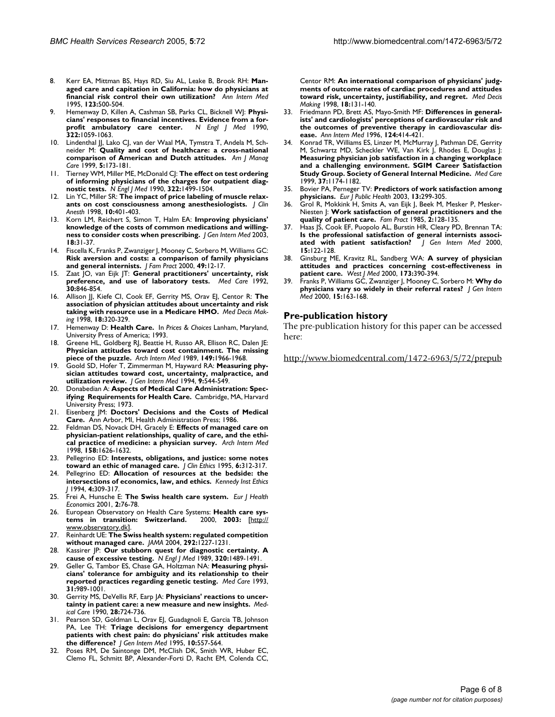- 8. Kerr EA, Mittman BS, Hays RD, Siu AL, Leake B, Brook RH: **[Man](http://www.ncbi.nlm.nih.gov/entrez/query.fcgi?cmd=Retrieve&db=PubMed&dopt=Abstract&list_uids=7661493)[aged care and capitation in California: how do physicians at](http://www.ncbi.nlm.nih.gov/entrez/query.fcgi?cmd=Retrieve&db=PubMed&dopt=Abstract&list_uids=7661493) [financial risk control their own utilization?](http://www.ncbi.nlm.nih.gov/entrez/query.fcgi?cmd=Retrieve&db=PubMed&dopt=Abstract&list_uids=7661493)** *Ann Intern Med* 1995, **123:**500-504.
- Hemenway D, Killen A, Cashman SB, Parks CL, Bicknell WI: [Physi](http://www.ncbi.nlm.nih.gov/entrez/query.fcgi?cmd=Retrieve&db=PubMed&dopt=Abstract&list_uids=2320066)**cians' responses to financial incentives. Evidence from a for-<br><b>profit** ambulatory care center. N Engl J Med 1990, [profit ambulatory care center.](http://www.ncbi.nlm.nih.gov/entrez/query.fcgi?cmd=Retrieve&db=PubMed&dopt=Abstract&list_uids=2320066) **322:**1059-1063.
- 10. Lindenthal JJ, Lako CJ, van der Waal MA, Tymstra T, Andela M, Schneider M: **[Quality and cost of healthcare: a cross-national](http://www.ncbi.nlm.nih.gov/entrez/query.fcgi?cmd=Retrieve&db=PubMed&dopt=Abstract&list_uids=10346513) [comparison of American and Dutch attitudes.](http://www.ncbi.nlm.nih.gov/entrez/query.fcgi?cmd=Retrieve&db=PubMed&dopt=Abstract&list_uids=10346513)** *Am J Manag Care* 1999, **5:**173-181.
- 11. Tierney WM, Miller ME, McDonald CJ: **[The effect on test ordering](http://www.ncbi.nlm.nih.gov/entrez/query.fcgi?cmd=Retrieve&db=PubMed&dopt=Abstract&list_uids=2186274) [of informing physicians of the charges for outpatient diag](http://www.ncbi.nlm.nih.gov/entrez/query.fcgi?cmd=Retrieve&db=PubMed&dopt=Abstract&list_uids=2186274)[nostic tests.](http://www.ncbi.nlm.nih.gov/entrez/query.fcgi?cmd=Retrieve&db=PubMed&dopt=Abstract&list_uids=2186274)** *N Engl J Med* 1990, **322:**1499-1504.
- 12. Lin YC, Miller SR: **[The impact of price labeling of muscle relax](http://www.ncbi.nlm.nih.gov/entrez/query.fcgi?cmd=Retrieve&db=PubMed&dopt=Abstract&list_uids=9702621)[ants on cost consciousness among anesthesiologists.](http://www.ncbi.nlm.nih.gov/entrez/query.fcgi?cmd=Retrieve&db=PubMed&dopt=Abstract&list_uids=9702621)** *J Clin Anesth* 1998, **10:**401-403.
- 13. Korn LM, Reichert S, Simon T, Halm EA: **[Improving physicians'](http://www.ncbi.nlm.nih.gov/entrez/query.fcgi?cmd=Retrieve&db=PubMed&dopt=Abstract&list_uids=12534761) [knowledge of the costs of common medications and willing](http://www.ncbi.nlm.nih.gov/entrez/query.fcgi?cmd=Retrieve&db=PubMed&dopt=Abstract&list_uids=12534761)[ness to consider costs when prescribing.](http://www.ncbi.nlm.nih.gov/entrez/query.fcgi?cmd=Retrieve&db=PubMed&dopt=Abstract&list_uids=12534761)** *J Gen Intern Med* 2003, **18:**31-37.
- 14. Fiscella K, Franks P, Zwanziger J, Mooney C, Sorbero M, Williams GC: **[Risk aversion and costs: a comparison of family physicians](http://www.ncbi.nlm.nih.gov/entrez/query.fcgi?cmd=Retrieve&db=PubMed&dopt=Abstract&list_uids=10691394) [and general internists.](http://www.ncbi.nlm.nih.gov/entrez/query.fcgi?cmd=Retrieve&db=PubMed&dopt=Abstract&list_uids=10691394)** *J Fam Pract* 2000, **49:**12-17.
- 15. Zaat JO, van Eijk JT: **[General practitioners' uncertainty, risk](http://www.ncbi.nlm.nih.gov/entrez/query.fcgi?cmd=Retrieve&db=PubMed&dopt=Abstract&list_uids=1518316) [preference, and use of laboratory tests.](http://www.ncbi.nlm.nih.gov/entrez/query.fcgi?cmd=Retrieve&db=PubMed&dopt=Abstract&list_uids=1518316)** *Med Care* 1992, **30:**846-854.
- 16. Allison JJ, Kiefe CI, Cook EF, Gerrity MS, Orav EJ, Centor R: [The](http://www.ncbi.nlm.nih.gov/entrez/query.fcgi?cmd=Retrieve&db=PubMed&dopt=Abstract&list_uids=9679997) **[association of physician attitudes about uncertainty and risk](http://www.ncbi.nlm.nih.gov/entrez/query.fcgi?cmd=Retrieve&db=PubMed&dopt=Abstract&list_uids=9679997) [taking with resource use in a Medicare HMO.](http://www.ncbi.nlm.nih.gov/entrez/query.fcgi?cmd=Retrieve&db=PubMed&dopt=Abstract&list_uids=9679997)** *Med Decis Making* 1998, **18:**320-329.
- 17. Hemenway D: **Health Care.** In *Prices & Choices* Lanham, Maryland, University Press of America; 1993.
- 18. Greene HL, Goldberg RJ, Beattie H, Russo AR, Ellison RC, Dalen JE: **[Physician attitudes toward cost containment. The missing](http://www.ncbi.nlm.nih.gov/entrez/query.fcgi?cmd=Retrieve&db=PubMed&dopt=Abstract&list_uids=2774777) [piece of the puzzle.](http://www.ncbi.nlm.nih.gov/entrez/query.fcgi?cmd=Retrieve&db=PubMed&dopt=Abstract&list_uids=2774777)** *Arch Intern Med* 1989, **149:**1966-1968.
- 19. Goold SD, Hofer T, Zimmerman M, Hayward RA: **[Measuring phy](http://www.ncbi.nlm.nih.gov/entrez/query.fcgi?cmd=Retrieve&db=PubMed&dopt=Abstract&list_uids=7823224)[sician attitudes toward cost, uncertainty, malpractice, and](http://www.ncbi.nlm.nih.gov/entrez/query.fcgi?cmd=Retrieve&db=PubMed&dopt=Abstract&list_uids=7823224) [utilization review.](http://www.ncbi.nlm.nih.gov/entrez/query.fcgi?cmd=Retrieve&db=PubMed&dopt=Abstract&list_uids=7823224)** *J Gen Intern Med* 1994, **9:**544-549.
- Donabedian A: Aspects of Medical Care Administration: Spec**ifying Requirements for Health Care.** Cambridge, MA, Harvard University Press; 1973.
- 21. Eisenberg JM: **Doctors' Decisions and the Costs of Medical Care.** Ann Arbor, MI, Health Administration Press; 1986.
- 22. Feldman DS, Novack DH, Gracely E: **[Effects of managed care on](http://www.ncbi.nlm.nih.gov/entrez/query.fcgi?cmd=Retrieve&db=PubMed&dopt=Abstract&list_uids=9701096) [physician-patient relationships, quality of care, and the ethi](http://www.ncbi.nlm.nih.gov/entrez/query.fcgi?cmd=Retrieve&db=PubMed&dopt=Abstract&list_uids=9701096)[cal practice of medicine: a physician survey.](http://www.ncbi.nlm.nih.gov/entrez/query.fcgi?cmd=Retrieve&db=PubMed&dopt=Abstract&list_uids=9701096)** *Arch Intern Med* 1998, **158:**1626-1632.
- 23. Pellegrino ED: **[Interests, obligations, and justice: some notes](http://www.ncbi.nlm.nih.gov/entrez/query.fcgi?cmd=Retrieve&db=PubMed&dopt=Abstract&list_uids=8750589) [toward an ethic of managed care.](http://www.ncbi.nlm.nih.gov/entrez/query.fcgi?cmd=Retrieve&db=PubMed&dopt=Abstract&list_uids=8750589)** *J Clin Ethics* 1995, **6:**312-317.
- 24. Pellegrino ED: **[Allocation of resources at the bedside: the](http://www.ncbi.nlm.nih.gov/entrez/query.fcgi?cmd=Retrieve&db=PubMed&dopt=Abstract&list_uids=10138751) [intersections of economics, law, and ethics.](http://www.ncbi.nlm.nih.gov/entrez/query.fcgi?cmd=Retrieve&db=PubMed&dopt=Abstract&list_uids=10138751)** *Kennedy Inst Ethics J* 1994, **4:**309-317.
- 25. Frei A, Hunsche E: **The Swiss health care system.** *Eur J Health Economics* 2001, **2:**76-78.
- 26. European Observatory on Health Care Systems: **Health care sys**tems in transition: Switzerland. [www.observatory.dk\]](http://www.observatory.dk).
- 27. Reinhardt UE: **[The Swiss health system: regulated competition](http://www.ncbi.nlm.nih.gov/entrez/query.fcgi?cmd=Retrieve&db=PubMed&dopt=Abstract&list_uids=15353536) [without managed care.](http://www.ncbi.nlm.nih.gov/entrez/query.fcgi?cmd=Retrieve&db=PubMed&dopt=Abstract&list_uids=15353536)** *JAMA* 2004, **292:**1227-1231.
- 28. Kassirer JP: **[Our stubborn quest for diagnostic certainty. A](http://www.ncbi.nlm.nih.gov/entrez/query.fcgi?cmd=Retrieve&db=PubMed&dopt=Abstract&list_uids=2497349) [cause of excessive testing.](http://www.ncbi.nlm.nih.gov/entrez/query.fcgi?cmd=Retrieve&db=PubMed&dopt=Abstract&list_uids=2497349)** *N Engl J Med* 1989, **320:**1489-1491.
- 29. Geller G, Tambor ES, Chase GA, Holtzman NA: **[Measuring physi](http://www.ncbi.nlm.nih.gov/entrez/query.fcgi?cmd=Retrieve&db=PubMed&dopt=Abstract&list_uids=8231339)[cians' tolerance for ambiguity and its relationship to their](http://www.ncbi.nlm.nih.gov/entrez/query.fcgi?cmd=Retrieve&db=PubMed&dopt=Abstract&list_uids=8231339) [reported practices regarding genetic testing.](http://www.ncbi.nlm.nih.gov/entrez/query.fcgi?cmd=Retrieve&db=PubMed&dopt=Abstract&list_uids=8231339)** *Med Care* 1993, **31:**989-1001.
- 30. Gerrity MS, DeVellis RF, Earp JA: **[Physicians' reactions to uncer](http://www.ncbi.nlm.nih.gov/entrez/query.fcgi?cmd=Retrieve&db=PubMed&dopt=Abstract&list_uids=2385142)[tainty in patient care: a new measure and new insights.](http://www.ncbi.nlm.nih.gov/entrez/query.fcgi?cmd=Retrieve&db=PubMed&dopt=Abstract&list_uids=2385142)** *Medical Care* 1990, **28:**724-736.
- 31. Pearson SD, Goldman L, Orav EJ, Guadagnoli E, Garcia TB, Johnson PA, Lee TH: **[Triage decisions for emergency department](http://www.ncbi.nlm.nih.gov/entrez/query.fcgi?cmd=Retrieve&db=PubMed&dopt=Abstract&list_uids=8576772) [patients with chest pain: do physicians' risk attitudes make](http://www.ncbi.nlm.nih.gov/entrez/query.fcgi?cmd=Retrieve&db=PubMed&dopt=Abstract&list_uids=8576772) [the difference?](http://www.ncbi.nlm.nih.gov/entrez/query.fcgi?cmd=Retrieve&db=PubMed&dopt=Abstract&list_uids=8576772)** *J Gen Intern Med* 1995, **10:**557-564.
- 32. Poses RM, De Saintonge DM, McClish DK, Smith WR, Huber EC, Clemo FL, Schmitt BP, Alexander-Forti D, Racht EM, Colenda CC,

Centor RM: **[An international comparison of physicians' judg](http://www.ncbi.nlm.nih.gov/entrez/query.fcgi?cmd=Retrieve&db=PubMed&dopt=Abstract&list_uids=9566446)[ments of outcome rates of cardiac procedures and attitudes](http://www.ncbi.nlm.nih.gov/entrez/query.fcgi?cmd=Retrieve&db=PubMed&dopt=Abstract&list_uids=9566446) [toward risk, uncertainty, justifiability, and regret.](http://www.ncbi.nlm.nih.gov/entrez/query.fcgi?cmd=Retrieve&db=PubMed&dopt=Abstract&list_uids=9566446)** *Med Decis Making* 1998, **18:**131-140.

- 33. Friedmann PD, Brett AS, Mayo-Smith MF: **[Differences in general](http://www.ncbi.nlm.nih.gov/entrez/query.fcgi?cmd=Retrieve&db=PubMed&dopt=Abstract&list_uids=8554250)ists' and cardiologists' perceptions of cardiovascular risk and [the outcomes of preventive therapy in cardiovascular dis](http://www.ncbi.nlm.nih.gov/entrez/query.fcgi?cmd=Retrieve&db=PubMed&dopt=Abstract&list_uids=8554250)[ease.](http://www.ncbi.nlm.nih.gov/entrez/query.fcgi?cmd=Retrieve&db=PubMed&dopt=Abstract&list_uids=8554250)** *Ann Intern Med* 1996, **124:**414-421.
- 34. Konrad TR, Williams ES, Linzer M, McMurray J, Pathman DE, Gerrity M, Schwartz MD, Scheckler WE, Van Kirk J, Rhodes E, Douglas J: **Measuring physician job satisfaction in a changing workplace [and a challenging environment. SGIM Career Satisfaction](http://www.ncbi.nlm.nih.gov/entrez/query.fcgi?cmd=Retrieve&db=PubMed&dopt=Abstract&list_uids=10549620) [Study Group. Society of General Internal Medicine.](http://www.ncbi.nlm.nih.gov/entrez/query.fcgi?cmd=Retrieve&db=PubMed&dopt=Abstract&list_uids=10549620)** *Med Care* 1999, **37:**1174-1182.
- 35. Bovier PA, Perneger TV: **[Predictors of work satisfaction among](http://www.ncbi.nlm.nih.gov/entrez/query.fcgi?cmd=Retrieve&db=PubMed&dopt=Abstract&list_uids=14703315) [physicians.](http://www.ncbi.nlm.nih.gov/entrez/query.fcgi?cmd=Retrieve&db=PubMed&dopt=Abstract&list_uids=14703315)** *Eur J Public Health* 2003, **13:**299-305.
- 36. Grol R, Mokkink H, Smits A, van Eijk J, Beek M, Mesker P, Mesker-Niesten J: **[Work satisfaction of general practitioners and the](http://www.ncbi.nlm.nih.gov/entrez/query.fcgi?cmd=Retrieve&db=PubMed&dopt=Abstract&list_uids=4043602) [quality of patient care.](http://www.ncbi.nlm.nih.gov/entrez/query.fcgi?cmd=Retrieve&db=PubMed&dopt=Abstract&list_uids=4043602)** *Fam Pract* 1985, **2:**128-135.
- 37. Haas JS, Cook EF, Puopolo AL, Burstin HR, Cleary PD, Brennan TA: **[Is the professional satisfaction of general internists associ](http://www.ncbi.nlm.nih.gov/entrez/query.fcgi?cmd=Retrieve&db=PubMed&dopt=Abstract&list_uids=10672116)[ated with patient satisfaction?](http://www.ncbi.nlm.nih.gov/entrez/query.fcgi?cmd=Retrieve&db=PubMed&dopt=Abstract&list_uids=10672116)** *J Gen Intern Med* 2000, **15:**122-128.
- 38. Ginsburg ME, Kravitz RL, Sandberg WA: **[A survey of physician](http://www.ncbi.nlm.nih.gov/entrez/query.fcgi?cmd=Retrieve&db=PubMed&dopt=Abstract&list_uids=11112752) [attitudes and practices concerning cost-effectiveness in](http://www.ncbi.nlm.nih.gov/entrez/query.fcgi?cmd=Retrieve&db=PubMed&dopt=Abstract&list_uids=11112752) [patient care.](http://www.ncbi.nlm.nih.gov/entrez/query.fcgi?cmd=Retrieve&db=PubMed&dopt=Abstract&list_uids=11112752)** *West J Med* 2000, **173:**390-394.
- 39. Franks P, Williams GC, Zwanziger J, Mooney C, Sorbero M: **[Why do](http://www.ncbi.nlm.nih.gov/entrez/query.fcgi?cmd=Retrieve&db=PubMed&dopt=Abstract&list_uids=10718896) [physicians vary so widely in their referral rates?](http://www.ncbi.nlm.nih.gov/entrez/query.fcgi?cmd=Retrieve&db=PubMed&dopt=Abstract&list_uids=10718896)** *J Gen Intern Med* 2000, **15:**163-168.

# **Pre-publication history**

The pre-publication history for this paper can be accessed here:

http://www.biomedcentral.com/1472-6963/5/72/prepub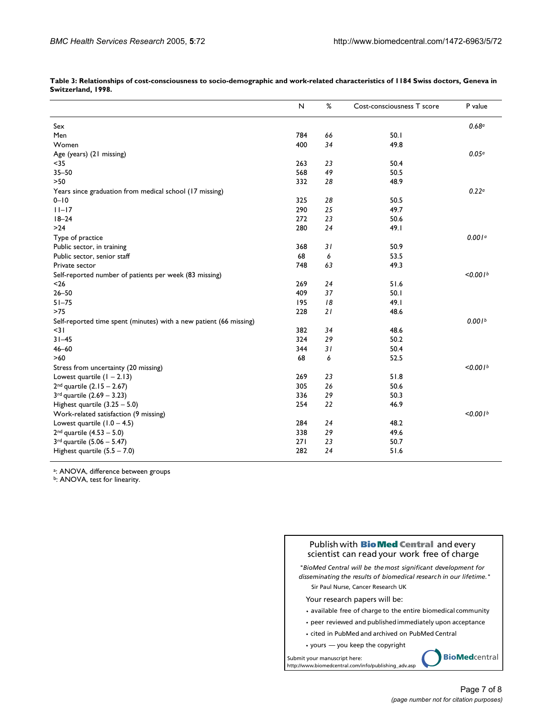|                                                                    | $\mathsf{N}$ | %  | Cost-consciousness T score | P value             |
|--------------------------------------------------------------------|--------------|----|----------------------------|---------------------|
| Sex                                                                |              |    |                            | 0.68 <sup>a</sup>   |
| Men                                                                | 784          | 66 | 50.1                       |                     |
| Women                                                              | 400          | 34 | 49.8                       |                     |
| Age (years) (21 missing)                                           |              |    |                            | 0.05 <sup>a</sup>   |
| $35$                                                               | 263          | 23 | 50.4                       |                     |
| $35 - 50$                                                          | 568          | 49 | 50.5                       |                     |
| $>50$                                                              | 332          | 28 | 48.9                       |                     |
| Years since graduation from medical school (17 missing)            |              |    |                            | 0.22 <sup>a</sup>   |
| $0 - 10$                                                           | 325          | 28 | 50.5                       |                     |
| $11-17$                                                            | 290          | 25 | 49.7                       |                     |
| $18 - 24$                                                          | 272          | 23 | 50.6                       |                     |
| $>24$                                                              | 280          | 24 | 49.1                       |                     |
| Type of practice                                                   |              |    |                            | 0.001a              |
| Public sector, in training                                         | 368          | 31 | 50.9                       |                     |
| Public sector, senior staff                                        | 68           | 6  | 53.5                       |                     |
| Private sector                                                     | 748          | 63 | 49.3                       |                     |
| Self-reported number of patients per week (83 missing)             |              |    |                            | <0.001 <sup>b</sup> |
| $<26$                                                              | 269          | 24 | 51.6                       |                     |
| $26 - 50$                                                          | 409          | 37 | 50.1                       |                     |
| $51 - 75$                                                          | 195          | 18 | 49.1                       |                     |
| $>75$                                                              | 228          | 21 | 48.6                       |                     |
| Self-reported time spent (minutes) with a new patient (66 missing) |              |    |                            | 0.001 <sup>b</sup>  |
| $<$ 31                                                             | 382          | 34 | 48.6                       |                     |
| $31 - 45$                                                          | 324          | 29 | 50.2                       |                     |
| $46 - 60$                                                          | 344          | 31 | 50.4                       |                     |
| $>60$                                                              | 68           | 6  | 52.5                       |                     |
| Stress from uncertainty (20 missing)                               |              |    |                            | <0.001 <sup>b</sup> |
| Lowest quartile $(1 - 2.13)$                                       | 269          | 23 | 51.8                       |                     |
| $2nd$ quartile (2.15 - 2.67)                                       | 305          | 26 | 50.6                       |                     |
| $3rd$ quartile $(2.69 - 3.23)$                                     | 336          | 29 | 50.3                       |                     |
| Highest quartile $(3.25 - 5.0)$                                    | 254          | 22 | 46.9                       |                     |
| Work-related satisfaction (9 missing)                              |              |    |                            | <0.001 <sup>b</sup> |
| Lowest quartile $(1.0 - 4.5)$                                      | 284          | 24 | 48.2                       |                     |
| $2nd$ quartile (4.53 - 5.0)                                        | 338          | 29 | 49.6                       |                     |
| $3^{rd}$ quartile $(5.06 - 5.47)$                                  | 271          | 23 | 50.7                       |                     |
| Highest quartile $(5.5 - 7.0)$                                     | 282          | 24 | 51.6                       |                     |
|                                                                    |              |    |                            |                     |

**Table 3: Relationships of cost-consciousness to socio-demographic and work-related characteristics of 1184 Swiss doctors, Geneva in Switzerland, 1998.**

a: ANOVA, difference between groups

b: ANOVA, test for linearity.